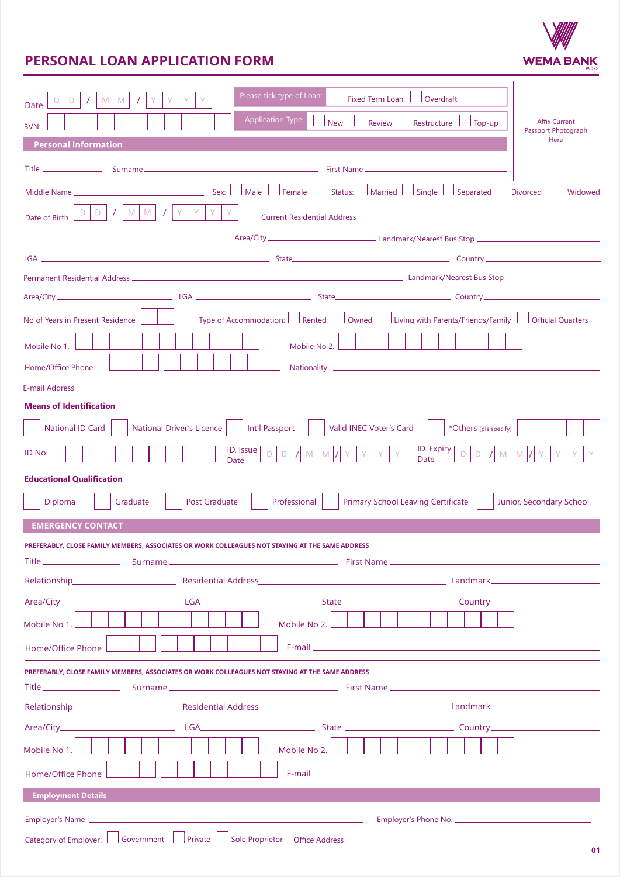

# **PERSONAL LOAN APPLICATION FORM**

| Please tick type of Loan:<br>Fixed Term Loan L<br>$\Box$ Overdraft<br>M<br>D<br>M<br>Date                                                                                                                                                 |
|-------------------------------------------------------------------------------------------------------------------------------------------------------------------------------------------------------------------------------------------|
| <b>Application Type:</b><br><b>Affix Current</b><br><b>New</b><br>Review<br>Restructure<br>Top-up<br>BVN:                                                                                                                                 |
| Passport Photograph<br>Here<br><b>Personal Information</b>                                                                                                                                                                                |
|                                                                                                                                                                                                                                           |
| Sex: Male Female<br>Status: Married Single Separated J Divorced J Widowed<br>Middle Name ________________                                                                                                                                 |
| M<br>M                                                                                                                                                                                                                                    |
| Date of Birth                                                                                                                                                                                                                             |
|                                                                                                                                                                                                                                           |
|                                                                                                                                                                                                                                           |
| Area/City Country Country Country Country Country Country Country Country Country Country Country Country Country Country Country Country Country Country Country Country Country Country Country Country Country Country Coun            |
| Type of Accommodation: Rented $\Box$ Owned $\Box$ Living with Parents/Friends/Family $\Box$ Official Quarters<br>No of Years in Present Residence                                                                                         |
|                                                                                                                                                                                                                                           |
| Mobile No 1.<br>Mobile No 2.                                                                                                                                                                                                              |
| Home/Office Phone                                                                                                                                                                                                                         |
| <b>Means of Identification</b>                                                                                                                                                                                                            |
| National Driver's Licence     Int'l Passport<br>Valid INEC Voter's Card<br>National ID Card<br>*Others (pls specify)                                                                                                                      |
| ID. Expiry<br>$ID.$ Issue                                                                                                                                                                                                                 |
| ID No.<br>Y.<br>IY.<br>M<br>D.<br>D<br>M<br>M<br>Date<br>Date                                                                                                                                                                             |
| <b>Educational Qualification</b>                                                                                                                                                                                                          |
| Professional<br><b>Primary School Leaving Certificate</b><br>Diploma<br>Post Graduate<br>Junior. Secondary School<br>Graduate                                                                                                             |
| <b>EMERGENCY CONTACT</b>                                                                                                                                                                                                                  |
| PREFERABLY, CLOSE FAMILY MEMBERS, ASSOCIATES OR WORK COLLEAGUES NOT STAYING AT THE SAME ADDRESS                                                                                                                                           |
| Relationship <b>Example 2018</b> Residential Address <b>Contract Contract Contract Contract Contract Contract Contract Contract Contract Contract Contract Contract Contract Contract Contract Contract Contract Contract Contract Co</b> |
|                                                                                                                                                                                                                                           |
| Mobile No 1.<br>Mobile No 2.                                                                                                                                                                                                              |
| Home/Office Phone                                                                                                                                                                                                                         |
| PREFERABLY. CLOSE FAMILY MEMBERS. ASSOCIATES OR WORK COLLEAGUES NOT STAYING AT THE SAME ADDRESS                                                                                                                                           |
|                                                                                                                                                                                                                                           |
| Relationship Residential Address Residential Address Residential Address Residential Property Control of Landmark                                                                                                                         |
|                                                                                                                                                                                                                                           |
| Mobile No 2.<br>Mobile No 1.                                                                                                                                                                                                              |
| Home/Office Phone                                                                                                                                                                                                                         |
| <b>Employment Details</b>                                                                                                                                                                                                                 |
|                                                                                                                                                                                                                                           |
| Category of Employer: Sovernment Sovernment Sovernment Soveton Soveton Office Address Source All Annual Communication of the District Office Address Source Address Annual Communication of the District Office Address Source            |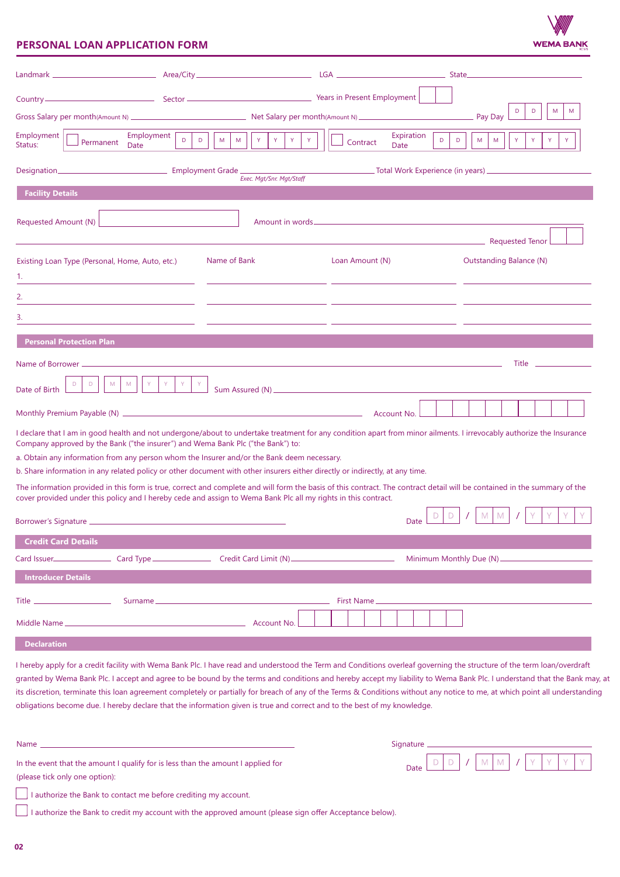

## **PERSONAL LOAN APPLICATION FORM**

|                                                                                  |                                                                                                                              |                                                                                                                                                                                                                                                                                                                                                                                                                                                                                                                                     | State and the state of the state of the state of the state of the state of the state of the state of the state                                                                                                                       |
|----------------------------------------------------------------------------------|------------------------------------------------------------------------------------------------------------------------------|-------------------------------------------------------------------------------------------------------------------------------------------------------------------------------------------------------------------------------------------------------------------------------------------------------------------------------------------------------------------------------------------------------------------------------------------------------------------------------------------------------------------------------------|--------------------------------------------------------------------------------------------------------------------------------------------------------------------------------------------------------------------------------------|
|                                                                                  |                                                                                                                              |                                                                                                                                                                                                                                                                                                                                                                                                                                                                                                                                     |                                                                                                                                                                                                                                      |
|                                                                                  |                                                                                                                              |                                                                                                                                                                                                                                                                                                                                                                                                                                                                                                                                     | D<br>D<br>M<br>M                                                                                                                                                                                                                     |
| Employment<br>Employment<br>Permanent<br><b>Date</b><br>Status:                  | $\mathsf{D}$<br>$\mathsf{Y}$<br>Y.<br>Y.<br>D<br>M<br>M                                                                      | Expiration<br>$\mathsf D$<br>Contract<br>Date                                                                                                                                                                                                                                                                                                                                                                                                                                                                                       | D<br>M<br>M<br>Y<br>$\mathsf{Y}$<br>Y                                                                                                                                                                                                |
|                                                                                  |                                                                                                                              |                                                                                                                                                                                                                                                                                                                                                                                                                                                                                                                                     |                                                                                                                                                                                                                                      |
| <b>Facility Details</b>                                                          | Exec. Mgt/Snr. Mgt/Staff                                                                                                     |                                                                                                                                                                                                                                                                                                                                                                                                                                                                                                                                     |                                                                                                                                                                                                                                      |
|                                                                                  |                                                                                                                              |                                                                                                                                                                                                                                                                                                                                                                                                                                                                                                                                     |                                                                                                                                                                                                                                      |
| Requested Amount (N)                                                             |                                                                                                                              |                                                                                                                                                                                                                                                                                                                                                                                                                                                                                                                                     | Requested Tenor                                                                                                                                                                                                                      |
| Existing Loan Type (Personal, Home, Auto, etc.)                                  | Name of Bank                                                                                                                 | Loan Amount (N)                                                                                                                                                                                                                                                                                                                                                                                                                                                                                                                     | <b>Outstanding Balance (N)</b>                                                                                                                                                                                                       |
| 1.<br>the control of the control of the control of the control of the control of |                                                                                                                              |                                                                                                                                                                                                                                                                                                                                                                                                                                                                                                                                     |                                                                                                                                                                                                                                      |
| 2.                                                                               |                                                                                                                              |                                                                                                                                                                                                                                                                                                                                                                                                                                                                                                                                     |                                                                                                                                                                                                                                      |
| 3.                                                                               |                                                                                                                              |                                                                                                                                                                                                                                                                                                                                                                                                                                                                                                                                     |                                                                                                                                                                                                                                      |
|                                                                                  |                                                                                                                              |                                                                                                                                                                                                                                                                                                                                                                                                                                                                                                                                     |                                                                                                                                                                                                                                      |
| <b>Personal Protection Plan</b>                                                  |                                                                                                                              |                                                                                                                                                                                                                                                                                                                                                                                                                                                                                                                                     |                                                                                                                                                                                                                                      |
| Name of Borrower                                                                 |                                                                                                                              |                                                                                                                                                                                                                                                                                                                                                                                                                                                                                                                                     | Title <b>Allenger Communist Communist Communist Communist Communist Communist Communist Communist Communist Communist Communist Communist Communist Communist Communist Communist Communist Communist Communist Communist Commun</b> |
| M<br>M<br>Y.<br>D<br>Date of Birth                                               | $\langle \mathsf{Y} \rangle$<br>$\mid$ Y                                                                                     |                                                                                                                                                                                                                                                                                                                                                                                                                                                                                                                                     |                                                                                                                                                                                                                                      |
|                                                                                  |                                                                                                                              | Account No.                                                                                                                                                                                                                                                                                                                                                                                                                                                                                                                         |                                                                                                                                                                                                                                      |
|                                                                                  | Company approved by the Bank ("the insurer") and Wema Bank Plc ("the Bank") to:                                              | I declare that I am in good health and not undergone/about to undertake treatment for any condition apart from minor ailments. I irrevocably authorize the Insurance                                                                                                                                                                                                                                                                                                                                                                |                                                                                                                                                                                                                                      |
|                                                                                  | a. Obtain any information from any person whom the Insurer and/or the Bank deem necessary.                                   |                                                                                                                                                                                                                                                                                                                                                                                                                                                                                                                                     |                                                                                                                                                                                                                                      |
|                                                                                  | b. Share information in any related policy or other document with other insurers either directly or indirectly, at any time. |                                                                                                                                                                                                                                                                                                                                                                                                                                                                                                                                     |                                                                                                                                                                                                                                      |
|                                                                                  | cover provided under this policy and I hereby cede and assign to Wema Bank Plc all my rights in this contract.               | The information provided in this form is true, correct and complete and will form the basis of this contract. The contract detail will be contained in the summary of the                                                                                                                                                                                                                                                                                                                                                           |                                                                                                                                                                                                                                      |
|                                                                                  |                                                                                                                              | Date                                                                                                                                                                                                                                                                                                                                                                                                                                                                                                                                | M I<br>M                                                                                                                                                                                                                             |
| <b>Credit Card Details</b>                                                       |                                                                                                                              |                                                                                                                                                                                                                                                                                                                                                                                                                                                                                                                                     |                                                                                                                                                                                                                                      |
|                                                                                  |                                                                                                                              |                                                                                                                                                                                                                                                                                                                                                                                                                                                                                                                                     |                                                                                                                                                                                                                                      |
| <b>Introducer Details</b>                                                        |                                                                                                                              |                                                                                                                                                                                                                                                                                                                                                                                                                                                                                                                                     |                                                                                                                                                                                                                                      |
|                                                                                  |                                                                                                                              |                                                                                                                                                                                                                                                                                                                                                                                                                                                                                                                                     |                                                                                                                                                                                                                                      |
|                                                                                  |                                                                                                                              | First Name                                                                                                                                                                                                                                                                                                                                                                                                                                                                                                                          |                                                                                                                                                                                                                                      |
|                                                                                  |                                                                                                                              |                                                                                                                                                                                                                                                                                                                                                                                                                                                                                                                                     |                                                                                                                                                                                                                                      |
| <b>Declaration</b>                                                               |                                                                                                                              |                                                                                                                                                                                                                                                                                                                                                                                                                                                                                                                                     |                                                                                                                                                                                                                                      |
|                                                                                  | obligations become due. I hereby declare that the information given is true and correct and to the best of my knowledge.     | I hereby apply for a credit facility with Wema Bank Plc. I have read and understood the Term and Conditions overleaf governing the structure of the term loan/overdraft<br>granted by Wema Bank Plc. I accept and agree to be bound by the terms and conditions and hereby accept my liability to Wema Bank Plc. I understand that the Bank may, at<br>its discretion, terminate this loan agreement completely or partially for breach of any of the Terms & Conditions without any notice to me, at which point all understanding |                                                                                                                                                                                                                                      |
| Name $\_\_$                                                                      |                                                                                                                              | Signature __________                                                                                                                                                                                                                                                                                                                                                                                                                                                                                                                |                                                                                                                                                                                                                                      |
| In the event that the amount I qualify for is less than the amount I applied for |                                                                                                                              | Date                                                                                                                                                                                                                                                                                                                                                                                                                                                                                                                                | M<br>M                                                                                                                                                                                                                               |

 $\Box$  I authorize the Bank to contact me before crediting my account.

I authorize the Bank to credit my account with the approved amount (please sign offer Acceptance below).

 $\sqrt{ }$ 

(please tick only one option):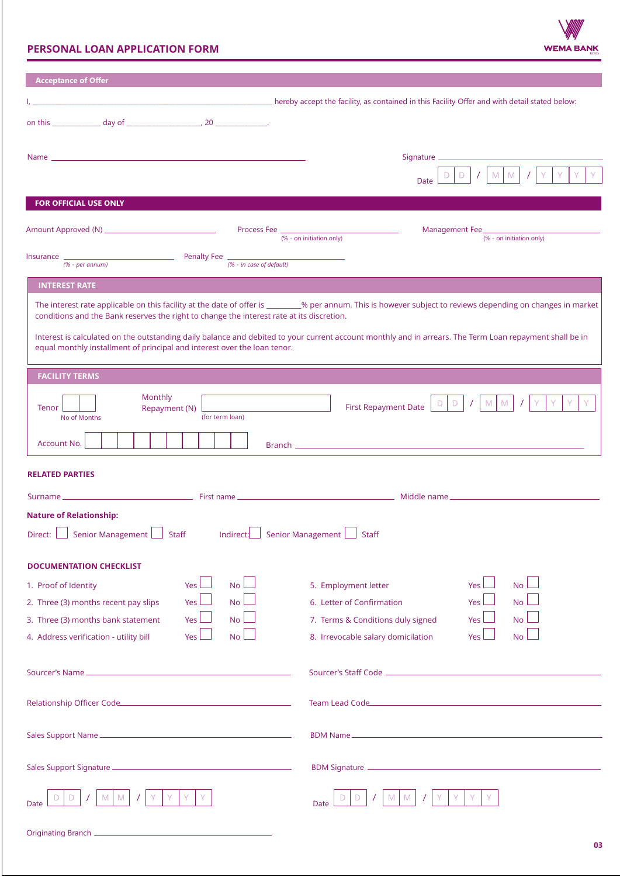# **PERSONAL LOAN APPLICATION FORM**



| <b>Acceptance of Offer</b>                                                                                   |                                                                                                                                                              |  |  |  |  |
|--------------------------------------------------------------------------------------------------------------|--------------------------------------------------------------------------------------------------------------------------------------------------------------|--|--|--|--|
| mereby accept the facility, as contained in this Facility Offer and with detail stated below:                |                                                                                                                                                              |  |  |  |  |
|                                                                                                              |                                                                                                                                                              |  |  |  |  |
|                                                                                                              |                                                                                                                                                              |  |  |  |  |
|                                                                                                              | Signature _________________                                                                                                                                  |  |  |  |  |
|                                                                                                              | M M<br>Date                                                                                                                                                  |  |  |  |  |
| <b>FOR OFFICIAL USE ONLY</b>                                                                                 |                                                                                                                                                              |  |  |  |  |
| Process Fee                                                                                                  | Management Fee                                                                                                                                               |  |  |  |  |
|                                                                                                              | (% - on initiation only)<br>(% - on initiation only)                                                                                                         |  |  |  |  |
|                                                                                                              |                                                                                                                                                              |  |  |  |  |
| <b>INTEREST RATE</b>                                                                                         |                                                                                                                                                              |  |  |  |  |
|                                                                                                              | The interest rate applicable on this facility at the date of offer is ________% per annum. This is however subject to reviews depending on changes in market |  |  |  |  |
| conditions and the Bank reserves the right to change the interest rate at its discretion.                    |                                                                                                                                                              |  |  |  |  |
| equal monthly installment of principal and interest over the loan tenor.                                     | Interest is calculated on the outstanding daily balance and debited to your current account monthly and in arrears. The Term Loan repayment shall be in      |  |  |  |  |
| <b>FACILITY TERMS</b>                                                                                        |                                                                                                                                                              |  |  |  |  |
| Monthly                                                                                                      |                                                                                                                                                              |  |  |  |  |
| M<br>M<br>D<br>D<br><b>First Repayment Date</b><br>Tenor<br>Repayment (N)<br>(for term loan)<br>No of Months |                                                                                                                                                              |  |  |  |  |
|                                                                                                              |                                                                                                                                                              |  |  |  |  |
| Account No.                                                                                                  |                                                                                                                                                              |  |  |  |  |
| <b>RELATED PARTIES</b>                                                                                       |                                                                                                                                                              |  |  |  |  |
|                                                                                                              |                                                                                                                                                              |  |  |  |  |
| <b>Nature of Relationship:</b>                                                                               |                                                                                                                                                              |  |  |  |  |
| Senior Management L<br>Staff Indirect:<br>Direct:                                                            | Senior Management $\Box$ Staff                                                                                                                               |  |  |  |  |
| <b>DOCUMENTATION CHECKLIST</b>                                                                               |                                                                                                                                                              |  |  |  |  |
| No.<br>1. Proof of Identity<br><b>Yes</b>                                                                    | 5. Employment letter<br><b>No</b><br><b>Yes</b>                                                                                                              |  |  |  |  |
| N <sub>o</sub><br>2. Three (3) months recent pay slips<br><b>Yes</b>                                         | 6. Letter of Confirmation<br><b>No</b><br><b>Yes</b>                                                                                                         |  |  |  |  |
| <b>No</b><br>3. Three (3) months bank statement<br><b>Yes</b>                                                | 7. Terms & Conditions duly signed<br><b>No</b><br><b>Yes</b>                                                                                                 |  |  |  |  |
| No <sub>l</sub><br>Yes<br>4. Address verification - utility bill                                             | 8. Irrevocable salary domicilation<br>No l<br>Yes                                                                                                            |  |  |  |  |
|                                                                                                              |                                                                                                                                                              |  |  |  |  |
|                                                                                                              |                                                                                                                                                              |  |  |  |  |
| Relationship Officer Code                                                                                    | Team Lead Code                                                                                                                                               |  |  |  |  |
|                                                                                                              |                                                                                                                                                              |  |  |  |  |
|                                                                                                              |                                                                                                                                                              |  |  |  |  |
|                                                                                                              |                                                                                                                                                              |  |  |  |  |
|                                                                                                              | Ð                                                                                                                                                            |  |  |  |  |
| Date                                                                                                         | <b>Date</b>                                                                                                                                                  |  |  |  |  |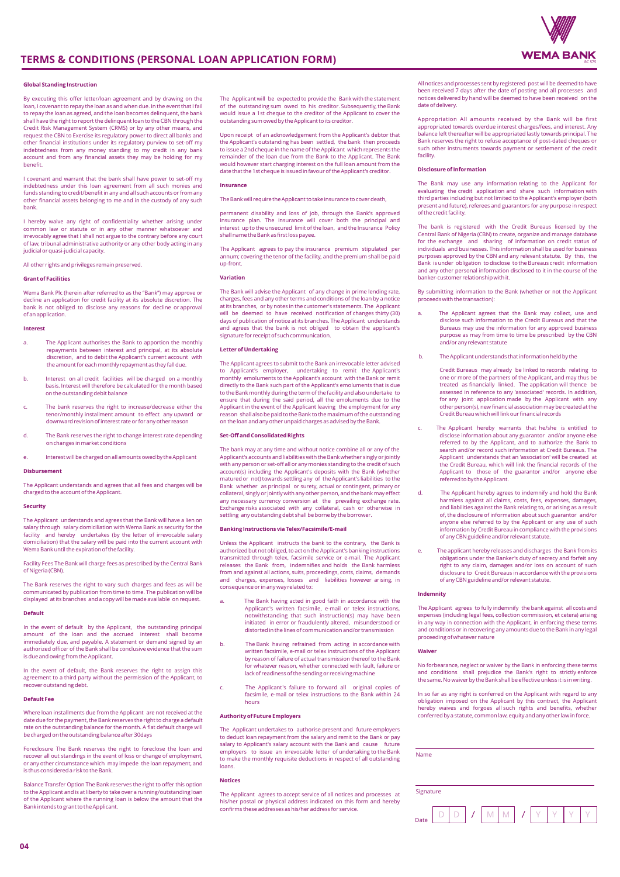

### **Global Standing Instruction**

By executing this offer letter/loan agreement and by drawing on the loan, I covenant to repay the loan as and when due. In the event that I fail to repay the loan as agreed, and the loan becomes delinquent, the bank shall have the right to report the delinquent loan to the CBN through the Credit Risk Management System (CRMS) or by any other means, and request the CBN to Exercise its regulatory power to direct all banks and other financial institutions under its regulatory purview to set-off my indebtedness from any money standing to my credit in any bank account and from any financial assets they may be holding for my benefit.

I covenant and warrant that the bank shall have power to set-off my indebtedness under this loan agreement from all such monies and funds standing to credit/benefit in any and all such accounts or from any other financial assets belonging to me and in the custody of any such bank.

I hereby waive any right of confidentiality whether arising under common law or statute or in any other manner whatsoever and irrevocably agree that I shall not argue to the contrary before any court of law, tribunal administrative authority or any other body acting in any judicial or quasi-judicial capacity.

All other rights and privileges remain preserved.

#### **Grant of Facilities**

Wema Bank Plc (herein after referred to as the "Bank") may approve or decline an application for credit facility at its absolute discretion. The bank is not obliged to disclose any reasons for decline or approval of an application.

#### **Interest**

- a. The Applicant authorises the Bank to apportion the monthly repayments between interest and principal, at its absolute discretion, and to debit the Applicant's current account with the amount for each monthly repayment as they fall due.
- b. Interest on all credit facilities will be charged on a monthly basis. Interest will therefore be calculated for the month based on the outstanding debit balance
- The bank reserves the right to increase/decrease either the tenor/monthly installment amount to effect any upward or downward revision of interest rate or for any other reason
- d. The Bank reserves the right to change interest rate depending on changes in market conditions
- e. Interest will be charged on all amounts owed by the Applicant

#### **Disbursement**

The Applicant understands and agrees that all fees and charges will be charged to the account of the Applicant.

#### **Security**

The Applicant understands and agrees that the Bank will have a lien on salary through salary domiciliation with Wema Bank as security for the facility and hereby undertakes (by the letter of irrevocable salary domiciliation) that the salary will be paid into the current account with Wema Bank until the expiration of the facility.

Facility Fees The Bank will charge fees as prescribed by the Central Bank of Nigeria (CBN).

The Bank reserves the right to vary such charges and fees as will be communicated by publication from time to time. The publication will be displayed at its branches and a copy will be made available on request.

#### **Default**

In the event of default by the Applicant, the outstanding principal amount of the loan and the accrued interest shall become immediately due, and payable. A statement or demand signed by an authorized officer of the Bank shall be conclusive evidence that the sum is due and owing from the Applicant.

In the event of default, the Bank reserves the right to assign this agreement to a third party without the permission of the Applicant, to recover outstanding debt.

#### **Default Fee**

Where loan installments due from the Applicant are not received at the date due for the payment, the Bank reserves the right to charge a default rate on the outstanding balance for the month. A flat default charge will be charged on the outstanding balance after 30days

Foreclosure The Bank reserves the right to foreclose the loan and recover all out standings in the event of loss or change of employment, or any other circumstance which may impede the loan repayment, and is thus considered a risk to the Bank.

Balance Transfer Option The Bank reserves the right to offer this option to the Applicant and is at liberty to take over a running/outstanding loan of the Applicant where the running loan is below the amount that the Bank intends to grant to the Applicant.

The Applicant will be expected to provide the Bank with the statement of the outstanding sum owed to his creditor. Subsequently, the Bank would issue a 1st cheque to the creditor of the Applicant to cover the outstanding sum owed by the Applicant to its creditor.

Upon receipt of an acknowledgement from the Applicant's debtor that the Applicant's outstanding has been settled, the bank then proceeds to issue a 2nd cheque in the name of the Applicant which represents the remainder of the loan due from the Bank to the Applicant. The Bank would however start charging interest on the full loan amount from the date that the 1st cheque is issued in favour of the Applicant's creditor.

#### **Insurance**

The Bank will require the Applicant to take insurance to cover death,

permanent disability and loss of job, through the Bank's approved Insurance plan. The insurance will cover both the principal and interest up to the unsecured limit of the loan, and the Insurance Policy shall name the Bank as first loss payee.

The Applicant agrees to pay the insurance premium stipulated per annum; covering the tenor of the facility, and the premium shall be paid up-front.

#### **Variation**

The Bank will advise the Applicant of any change in prime lending rate, charges, fees and any other terms and conditions of the loan by a notice at its branches, or by notes in the customer's statements. The Applicant will be deemed to have received notification of changes thirty (30) days of publication of notice at its branches. The Applicant understands and agrees that the bank is not obliged to obtain the applicant's signature for receipt of such communication.

#### **Letter of Undertaking**

The Applicant agrees to submit to the Bank an irrevocable letter advised to Applicant's employer, undertaking to remit the Applicant's monthly emoluments to the Applicant's account with the Bank or remit directly to the Bank such part of the Applicant's emoluments that is due to the Bank monthly during the term of the facility and also undertake to ensure that during the said period, all the emoluments due to the Applicant in the event of the Applicant leaving the employment for any reason shall also be paid to the Bank to the maximum of the outstanding on the loan and any other unpaid charges as advised by the Bank.

### **Set-Off and Consolidated Rights**

The bank may at any time and without notice combine all or any of the Applicant's accounts and liabilities with the Bank whether singly or jointly with any person or set-off all or any monies standing to the credit of such account(s) including the Applicant's deposits with the Bank (whether<br>matured or not) towards settling any of the Applicant's liabilities to the<br>Bank whether as principal or surety, actual or contingent, primary or collateral, singly or jointly with any other person, and the bank may effect any necessary currency conversion at the prevailing exchange rate. Exchange risks associated with any collateral, cash or otherwise in settling any outstanding debt shall be borne by the borrower.

#### **Banking Instructions via Telex/Facsimile/E-mail**

Unless the Applicant instructs the bank to the contrary, the Bank is authorized but not obliged, to act on the Applicant's banking instructions transmitted through telex, facsimile service or e-mail. The Applicant releases the Bank from, indemnifies and holds the Bank harmless from and against all actions, suits, proceedings, costs, claims, demands and charges, expenses, losses and liabilities however arising, in consequence or in any way related to:

- a. The Bank having acted in good faith in accordance with the Applicant's written facsimile, e-mail or telex instructions, notwithstanding that such instruction(s) may have been initiated in error or fraudulently altered, misunderstood or distorted in the lines of communication and/or transmission
- b. The Bank having refrained from acting in accordance with written facsimile, e-mail or telex instructions of the Applicant by reason of failure of actual transmission thereof to the Bank for whatever reason, whether connected with fault, failure or lack of readiness of the sending or receiving machine
- c. The Applicant's failure to forward all original copies of facsimile, e-mail or telex instructions to the Bank within 24 hours

#### **Authority of Future Employers**

The Applicant undertakes to authorise present and future employers to deduct loan repayment from the salary and remit to the Bank or pay salary to Applicant's salary account with the Bank and cause future employers to issue an irrevocable letter of undertaking to the Bank to make the monthly requisite deductions in respect of all outstanding loans.

## **Notices**

The Applicant agrees to accept service of all notices and processes at his/her postal or physical address indicated on this form and hereby confirms these addresses as his/her address for service.

All notices and processes sent by registered post will be deemed to have been received 7 days after the date of posting and all processes and notices delivered by hand will be deemed to have been received on the date of delivery.

Appropriation All amounts received by the Bank will be first appropriated towards overdue interest charges/fees, and interest. Any balance left thereafter will be appropriated lastly towards principal. The Bank reserves the right to refuse acceptance of post-dated cheques or such other instruments towards payment or settlement of the credit facility.

#### **Disclosure of Information**

The Bank may use any information relating to the Applicant for evaluating the credit application and share such information with third parties including but not limited to the Applicant's employer (both present and future), referees and guarantors for any purpose in respect of the credit facility.

The bank is registered with the Credit Bureaus licensed by the Central Bank of Nigeria (CBN) to create, organize and manage database for the exchange and sharing of information on credit status of individuals and businesses. This information shall be used for business purposes approved by the CBN and any relevant statute. By this, the Bank is under obligation to disclose to the Bureaus credit information and any other personal information disclosed to it in the course of the banker-customer relationship with it.

By submitting information to the Bank (whether or not the Applicant proceeds with the transaction):

- The Applicant agrees that the Bank may collect, use and disclose such information to the Credit Bureaus and that the Bureaus may use the information for any approved business purpose as may from time to time be prescribed by the CBN and/or any relevant statute
- The Applicant understands that information held by the
	- Credit Bureaus may already be linked to records relating to one or more of the partners of the Applicant, and may thus be treated as financially linked. The application will thence be assessed in reference to any 'associated' records. In addition, for any joint application made by the Applicant with any other person(s), new financial association may be created at the Credit Bureau which will link our financial records
- c. The Applicant hereby warrants that he/she is entitled to disclose information about any guarantor and/or anyone else referred to by the Applicant, and to authorize the Bank to search and/or record such information at Credit Bureaus. The Applicant understands that an 'association' will be created at the Credit Bureau, which will link the financial records of the Applicant to those of the guarantor and/or anyone else referred to by the Applicant.
- d. The Applicant hereby agrees to indemnify and hold the Bank harmless against all claims, costs, fees, expenses, damages, and liabilities against the Bank relating to, or arising as a result of, the disclosure of information about such guarantor and/or anyone else referred to by the Applicant or any use of such information by Credit Bureau in compliance with the provisions of any CBN guideline and/or relevant statute.
- The applicant hereby releases and discharges the Bank from its obligations under the Banker's duty of secrecy and forfeit any right to any claim, damages and/or loss on account of such disclosure to Credit Bureaus in accordance with the provisions of any CBN guideline and/or relevant statute.

#### **Indemnity**

The Applicant agrees to fully indemnify the bank against all costs and expenses (including legal fees, collection commission, et cetera) arising in any way in connection with the Applicant, in enforcing these terms and conditions or in recovering any amounts due to the Bank in any legal proceeding of whatever nature

#### **Waiver**

No forbearance, neglect or waiver by the Bank in enforcing these terms and conditions shall prejudice the Bank's right to strictly enforce the same. No waiver by the Bank shall be effective unless it is in writing.

In so far as any right is conferred on the Applicant with regard to any obligation imposed on the Applicant by this contract, the Applicant hereby waives and forgoes all such rights and benefits, whether conferred by a statute, common law, equity and any other law in force.

| Name      |  |  |  |  |
|-----------|--|--|--|--|
| Signature |  |  |  |  |
|           |  |  |  |  |